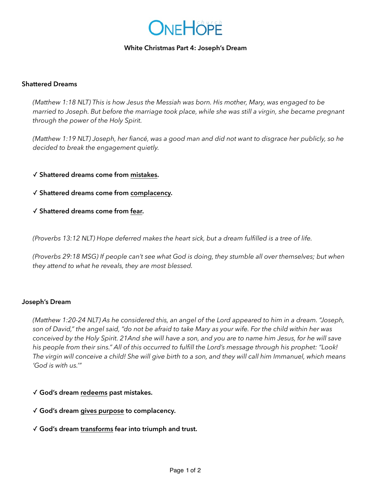# ONEHOPE

#### **White Christmas Part 4: Joseph's Dream**

# **Shattered Dreams**

*(Matthew 1:18 NLT) This is how Jesus the Messiah was born. His mother, Mary, was engaged to be married to Joseph. But before the marriage took place, while she was still a virgin, she became pregnant through the power of the Holy Spirit.*

*(Matthew 1:19 NLT) Joseph, her fiancé, was a good man and did not want to disgrace her publicly, so he decided to break the engagement quietly.*

# ✓ **Shattered dreams come from mistakes.**

✓ **Shattered dreams come from complacency.** 

✓ **Shattered dreams come from fear.**

*(Proverbs 13:12 NLT) Hope deferred makes the heart sick, but a dream fulfilled is a tree of life.*

*(Proverbs 29:18 MSG) If people can't see what God is doing, they stumble all over themselves; but when they attend to what he reveals, they are most blessed.*

#### **Joseph's Dream**

*(Matthew 1:20-24 NLT) As he considered this, an angel of the Lord appeared to him in a dream. "Joseph, son of David," the angel said, "do not be afraid to take Mary as your wife. For the child within her was conceived by the Holy Spirit. 21And she will have a son, and you are to name him Jesus, for he will save his people from their sins." All of this occurred to fulfill the Lord's message through his prophet: "Look! The virgin will conceive a child! She will give birth to a son, and they will call him Immanuel, which means 'God is with us.'"*

- ✓ **God's dream redeems past mistakes.**
- ✓ **God's dream gives purpose to complacency.**
- ✓ **God's dream transforms fear into triumph and trust.**